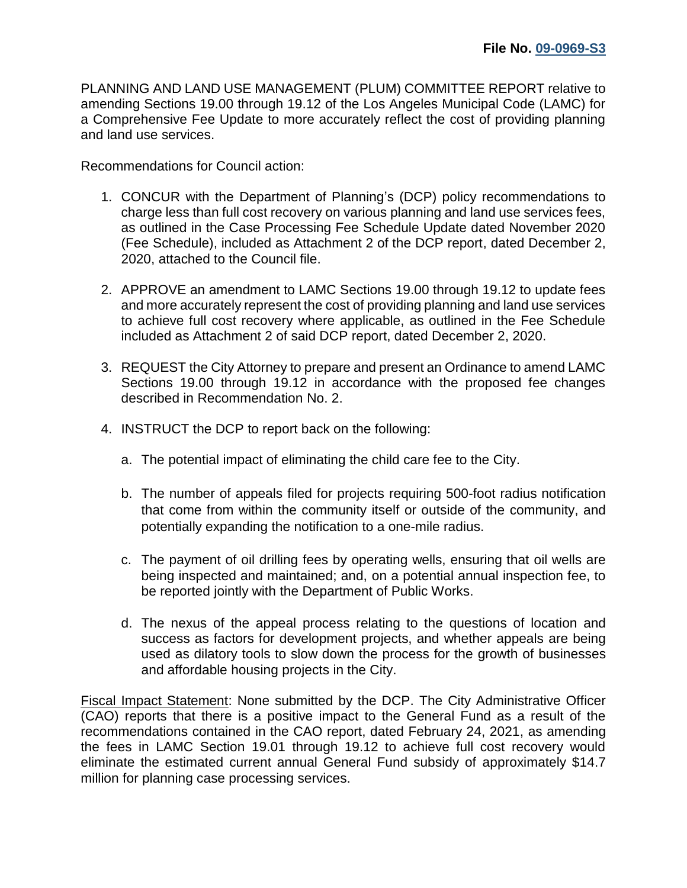PLANNING AND LAND USE MANAGEMENT (PLUM) COMMITTEE REPORT relative to amending Sections 19.00 through 19.12 of the Los Angeles Municipal Code (LAMC) for a Comprehensive Fee Update to more accurately reflect the cost of providing planning and land use services.

Recommendations for Council action:

- 1. CONCUR with the Department of Planning's (DCP) policy recommendations to charge less than full cost recovery on various planning and land use services fees, as outlined in the Case Processing Fee Schedule Update dated November 2020 (Fee Schedule), included as Attachment 2 of the DCP report, dated December 2, 2020, attached to the Council file.
- 2. APPROVE an amendment to LAMC Sections 19.00 through 19.12 to update fees and more accurately represent the cost of providing planning and land use services to achieve full cost recovery where applicable, as outlined in the Fee Schedule included as Attachment 2 of said DCP report, dated December 2, 2020.
- 3. REQUEST the City Attorney to prepare and present an Ordinance to amend LAMC Sections 19.00 through 19.12 in accordance with the proposed fee changes described in Recommendation No. 2.
- 4. INSTRUCT the DCP to report back on the following:
	- a. The potential impact of eliminating the child care fee to the City.
	- b. The number of appeals filed for projects requiring 500-foot radius notification that come from within the community itself or outside of the community, and potentially expanding the notification to a one-mile radius.
	- c. The payment of oil drilling fees by operating wells, ensuring that oil wells are being inspected and maintained; and, on a potential annual inspection fee, to be reported jointly with the Department of Public Works.
	- d. The nexus of the appeal process relating to the questions of location and success as factors for development projects, and whether appeals are being used as dilatory tools to slow down the process for the growth of businesses and affordable housing projects in the City.

Fiscal Impact Statement: None submitted by the DCP. The City Administrative Officer (CAO) reports that there is a positive impact to the General Fund as a result of the recommendations contained in the CAO report, dated February 24, 2021, as amending the fees in LAMC Section 19.01 through 19.12 to achieve full cost recovery would eliminate the estimated current annual General Fund subsidy of approximately \$14.7 million for planning case processing services.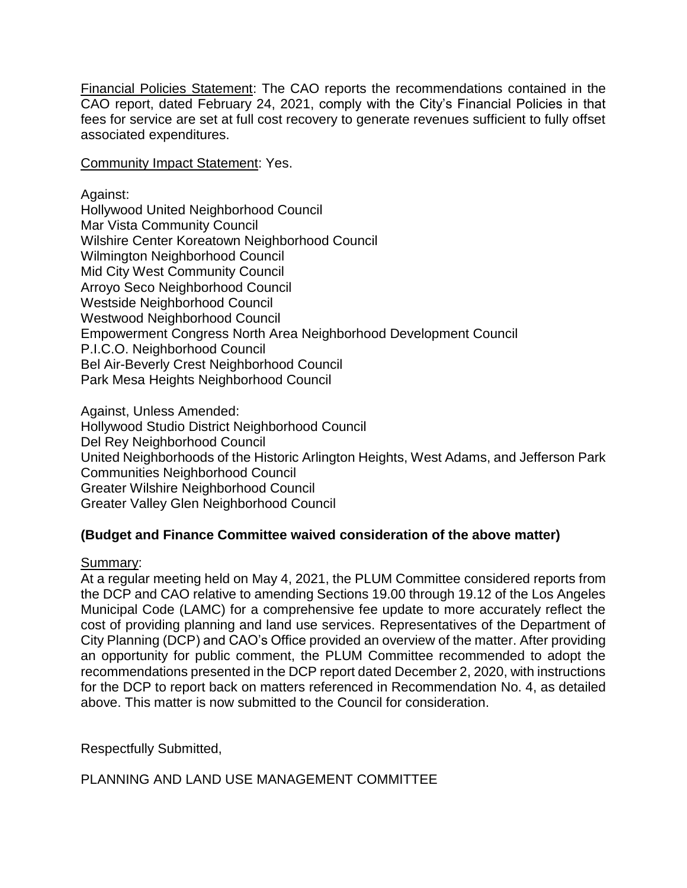Financial Policies Statement: The CAO reports the recommendations contained in the CAO report, dated February 24, 2021, comply with the City's Financial Policies in that fees for service are set at full cost recovery to generate revenues sufficient to fully offset associated expenditures.

Community Impact Statement: Yes.

Against: Hollywood United Neighborhood Council Mar Vista Community Council Wilshire Center Koreatown Neighborhood Council Wilmington Neighborhood Council Mid City West Community Council Arroyo Seco Neighborhood Council Westside Neighborhood Council Westwood Neighborhood Council Empowerment Congress North Area Neighborhood Development Council P.I.C.O. Neighborhood Council Bel Air-Beverly Crest Neighborhood Council Park Mesa Heights Neighborhood Council

Against, Unless Amended: Hollywood Studio District Neighborhood Council Del Rey Neighborhood Council United Neighborhoods of the Historic Arlington Heights, West Adams, and Jefferson Park Communities Neighborhood Council Greater Wilshire Neighborhood Council Greater Valley Glen Neighborhood Council

## **(Budget and Finance Committee waived consideration of the above matter)**

Summary:

At a regular meeting held on May 4, 2021, the PLUM Committee considered reports from the DCP and CAO relative to amending Sections 19.00 through 19.12 of the Los Angeles Municipal Code (LAMC) for a comprehensive fee update to more accurately reflect the cost of providing planning and land use services. Representatives of the Department of City Planning (DCP) and CAO's Office provided an overview of the matter. After providing an opportunity for public comment, the PLUM Committee recommended to adopt the recommendations presented in the DCP report dated December 2, 2020, with instructions for the DCP to report back on matters referenced in Recommendation No. 4, as detailed above. This matter is now submitted to the Council for consideration.

Respectfully Submitted,

PLANNING AND LAND USE MANAGEMENT COMMITTEE